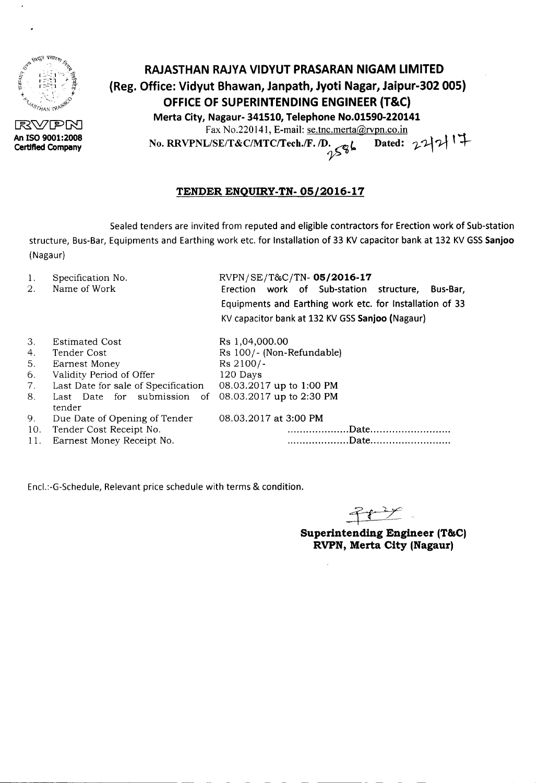

RVPN **An ISO 9001:2008 Certified Company**

## **RAJASTHAN RAJYA VIDYUT PRASARAN NIGAM LIMITED (Reg. Office: Vidyut Bhawan, Janpath, Jyoti Nagar, Jaipur-302 005) OFFICE OF SUPERINTENDING ENGINEER (T&C) Merta City, Nagaur- 341510, Telephone No.01590-220141** Fax No.220141, E-mail: se.tnc.merta@rvpn.co.in

No. RRVPNL/SE/T&C/MTC/Tech./F.  $/D \leftarrow \sqrt{e}$  **bated:**  $22 | 2 | 1 |$ 

## **TENDER ENQUIRY-TN- OS/2016-17**

Sealed tenders are invited from reputed and eligible contractors for Erection work of Sub-station structure, Bus-Bar,Equipments and Earthing work etc. for Installation of 33 KVcapacitor bank at 132 KVGSS**Sanjoo** (Nagaur)

- 1. Specification No.
- 2. Name of Work

RVPN/SE/T&C/TN-05/2016-17 Erection work of Sub-station structure, Bus-Bar, Equipments and Earthing work etc. for Installation of 33 KVcapacitor bankat 132 KVGSS**Sanjoo** (Nagaur)

| 3.  | <b>Estimated Cost</b>                                | Rs 1,04,000.00            |
|-----|------------------------------------------------------|---------------------------|
| 4.  | Tender Cost                                          | Rs 100/- (Non-Refundable) |
| 5.  | Earnest Money                                        | Rs 2100/-                 |
| 6.  | Validity Period of Offer                             | 120 Days                  |
| 7.  | Last Date for sale of Specification                  | 08.03.2017 up to 1:00 PM  |
| 8.  | Last Date for submission of 08.03.2017 up to 2:30 PM |                           |
|     | tender                                               |                           |
| 9.  | Due Date of Opening of Tender                        | 08.03.2017 at 3:00 PM     |
| 10. | Tender Cost Receipt No.                              | Date                      |
| 11. | Earnest Money Receipt No.                            | .Date                     |

Encl.:-G-Schedule, Relevant price schedule with terms & condition.

 $\widehat{+}$ 

**Superintending Engineer (T&C) RVPN, Merta City (Nagaur)**

- --------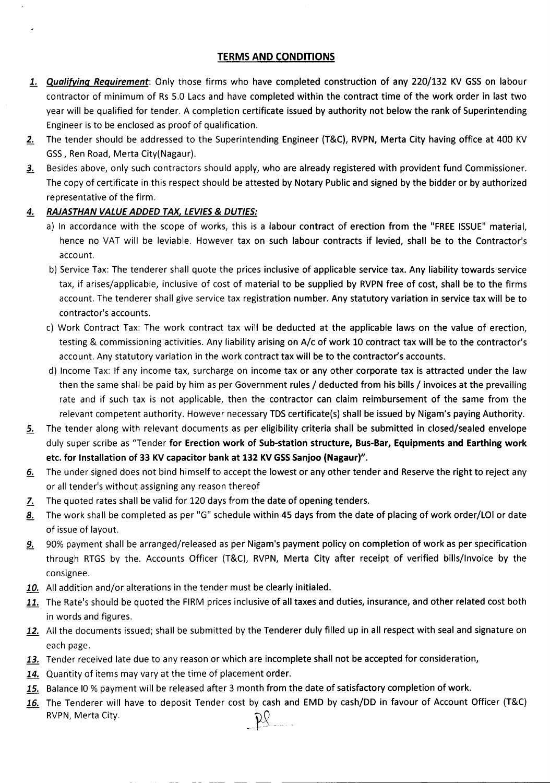## TERMS AND CONDITIONS

- 1. *Qualifying Requirement*: Only those firms who have completed construction of any 220/132 KV GSS on labour contractor of minimum of Rs 5.0 Lacs and have completed within the contract time of the work order in last two year will be qualified for tender. A completion certificate issued by authority not below the rank of Superintending Engineer is to be enclosed as proof of qualification.
- 2. The tender should be addressed to the Superintending Engineer (T&C), RVPN, Merta City having office at 400 KV GSS, Ren Road, Merta City(Nagaur).
- 3. Besides above, only such contractors should apply, who are already registered with provident fund Commissioner. The copy of certificate in this respect should be attested by Notary Public and signed by the bidder or by authorized representative of the firm.
- *4. RAJASTHAN VALUE ADDED TAX, LEVIES*& *DUTIES:*
	- a) In accordance with the scope of works, this is a labour contract of erection from the "FREE ISSUE" material, hence no VAT will be leviable. However tax on such labour contracts if levied, shall be to the Contractor's account.
	- b) Service Tax: The tenderer shall quote the prices inclusive of applicable service tax. Any liability towards service tax, if arises/applicable, inclusive of cost of material to be supplied by RVPN free of cost, shall be to the firms account. The tenderer shall give service tax registration number. Any statutory variation in service tax will be to contractor's accounts.
	- c) Work Contract Tax: The work contract tax will be deducted at the applicable laws on the value of erection, testing & commissioning activities. Any liability arising on A/c of work 10 contract tax will be to the contractor's account. Any statutory variation in the work contract tax will be to the contractor's accounts.
	- d) Income Tax: If any income tax, surcharge on income tax or any other corporate tax is attracted under the law then the same shall be paid by him as per Government rules / deducted from his bills / invoices at the prevailing rate and if such tax is not applicable, then the contractor can claim reimbursement of the same from the relevant competent authority. However necessary TDS certificate(s) shall be issued by Nigam's paying Authority.
- 5. The tender along with relevant documents as per eligibility criteria shall be submitted in closed/sealed envelope duly super scribe as "Tender for Erection work of Sub-station structure, Bus-Bar, Equipments and Earthing work etc. for Installation of 33 KV capacitor bank at 132 KV GSS Sanjoo (Nagaur)".
- 6. The under signed does not bind himself to accept the lowest or any other tender and Reserve the right to reject any or all tender's without assigning any reason thereof
- 7. The quoted rates shall be valid for 120 days from the date of opening tenders.
- 8. The work shall be completed as per "G" schedule within 45 days from the date of placing of work order/LOI or date of issue of layout.
- 9. 90% payment shall be arranged/released as per Nigam's payment policy on completion of work as per specification through RTGS by the. Accounts Officer (T&C), RVPN, Merta City after receipt of verified bills/Invoice by the consignee.
- 10. All addition and/or alterations in the tender must be clearly initialed.
- 11. The Rate's should be quoted the FIRM prices inclusive of all taxes and duties, insurance, and other related cost both in words and figures.
- 12. All the documents issued; shall be submitted by the Tenderer duly filled up in all respect with seal and signature on each page.
- 13. Tender received late due to any reason or which are incomplete shall not be accepted for consideration,
- 14. Quantity of items may vary at the time of placement order.

---------- - -

- 15. Balance IO % payment will be released after 3 month from the date of satisfactory completion of work.
- 16. The Tenderer will have to deposit Tender cost by cash and EMD by cash/DD in favour of Account Officer (T&C) RVPN, Merta City.  $PQ$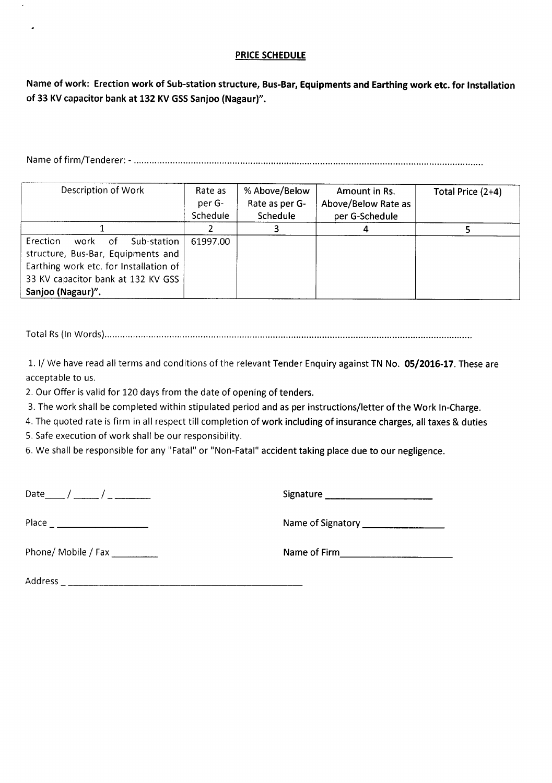## PRICE SCHEDULE

Name of work: Erection work of Sub-station structure, Bus-Bar, Equipments and Earthing work etc. for Installation of 33 KV capacitor bank at 132 KV GSS Sanjoo (Nagaur)".

Name of firm/Tenderer: - .

| Description of Work                           | Rate as<br>per G-<br>Schedule | % Above/Below<br>Rate as per G-<br>Schedule | Amount in Rs.<br>Above/Below Rate as<br>per G-Schedule | Total Price (2+4) |
|-----------------------------------------------|-------------------------------|---------------------------------------------|--------------------------------------------------------|-------------------|
|                                               |                               |                                             |                                                        |                   |
| <b>Erection</b><br>Sub-station<br>work<br>.of | 61997.00                      |                                             |                                                        |                   |
| structure, Bus-Bar, Equipments and            |                               |                                             |                                                        |                   |
| Earthing work etc. for Installation of        |                               |                                             |                                                        |                   |
| 33 KV capacitor bank at 132 KV GSS            |                               |                                             |                                                        |                   |
| Sanjoo (Nagaur)".                             |                               |                                             |                                                        |                   |

Total Rs(In Words) .

1. I/ We have read all terms and conditions of the relevant Tender Enquiry against TN No. 05/2016-17. These are acceptable to us.

2. Our Offer is valid for 120 days from the date of opening of tenders.

3. The work shall be completed within stipulated period and as per instructions/letter of the Work In-Charge.

4. The quoted rate is firm in all respect till completion of work including of insurance charges, all taxes & duties

5. Safe execution of work shall be our responsibility.

6. We shall be responsible for any "Fatal" or "Non-Fatal" accident taking place due to our negligence.

L.

Phone/ Mobile / Fax \_ Nameof Firm---------

Date\_\_ / \_\_ / \_ Signature \_

Place Nameof Signatory \_

Address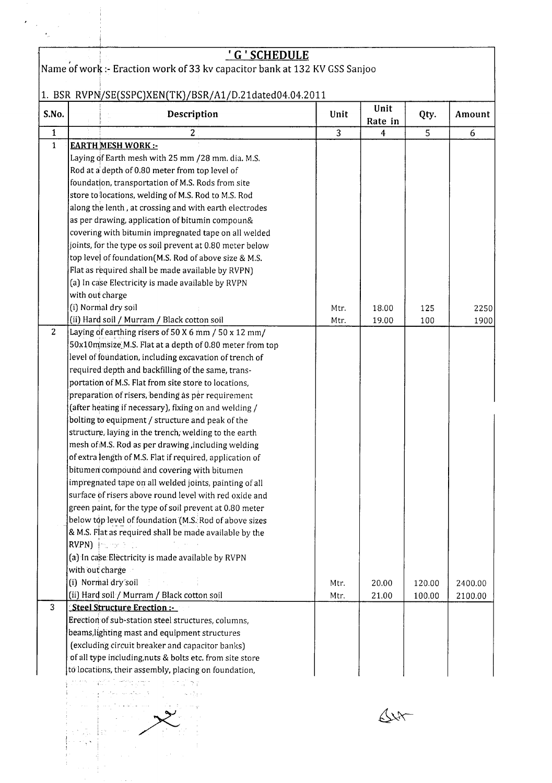|                | <u>'G'SCHEDULE</u>                                                                                                                   |                |                 |        |         |
|----------------|--------------------------------------------------------------------------------------------------------------------------------------|----------------|-----------------|--------|---------|
|                | Name of work :- Eraction work of 33 kv capacitor bank at 132 KV GSS Sanjoo                                                           |                |                 |        |         |
|                |                                                                                                                                      |                |                 |        |         |
|                | 1. BSR RVPN/SE(SSPC)XEN(TK)/BSR/A1/D.21dated04.04.2011                                                                               |                |                 |        |         |
| S.No.          | Description                                                                                                                          | Unit           | Unit<br>Rate in | Qty.   | Amount  |
| $\mathbf{1}$   | $\overline{c}$                                                                                                                       | $\overline{3}$ | 4               | 5      | 6       |
| $\mathbf{1}$   | <b>EARTH MESH WORK:-</b>                                                                                                             |                |                 |        |         |
|                | Laying of Earth mesh with 25 mm / 28 mm. dia. M.S.                                                                                   |                |                 |        |         |
|                | Rod at a depth of 0.80 meter from top level of                                                                                       |                |                 |        |         |
|                | foundation, transportation of M.S. Rods from site                                                                                    |                |                 |        |         |
|                | store to locations, welding of M.S. Rod to M.S. Rod                                                                                  |                |                 |        |         |
|                | along the lenth, at crossing and with earth electrodes                                                                               |                |                 |        |         |
|                | as per drawing, application of bitumin compoun&<br>covering with bitumin impregnated tape on all welded                              |                |                 |        |         |
|                | joints, for the type os soil prevent at 0.80 meter below                                                                             |                |                 |        |         |
|                | top level of foundation (M.S. Rod of above size & M.S.                                                                               |                |                 |        |         |
|                | Flat as required shall be made available by RVPN)                                                                                    |                |                 |        |         |
|                | (a) In case Electricity is made available by RVPN                                                                                    |                |                 |        |         |
|                | with out charge                                                                                                                      |                |                 |        |         |
|                | (i) Normal dry soil                                                                                                                  | Mtr.           | 18.00           | 125    | 2250    |
|                | (ii) Hard soil / Murram / Black cotton soil                                                                                          | Mtr.           | 19.00           | 100    | 1900    |
| 2 <sup>1</sup> | Laying of earthing risers of 50 X 6 mm / 50 x 12 mm/                                                                                 |                |                 |        |         |
|                | 50x10mmsize M.S. Flat at a depth of 0.80 meter from top                                                                              |                |                 |        |         |
|                | level of foundation, including excavation of trench of                                                                               |                |                 |        |         |
|                | required depth and backfilling of the same, trans-                                                                                   |                |                 |        |         |
|                | portation of M.S. Flat from site store to locations,                                                                                 |                |                 |        |         |
|                | preparation of risers, bending as per requirement                                                                                    |                |                 |        |         |
|                | (after heating if necessary), fixing on and welding /                                                                                |                |                 |        |         |
|                | bolting to equipment / structure and peak of the                                                                                     |                |                 |        |         |
|                | structure, laying in the trench, welding to the earth                                                                                |                |                 |        |         |
|                | mesh of M.S. Rod as per drawing, including welding                                                                                   |                |                 |        |         |
|                | of extra length of M.S. Flat if required, application of                                                                             |                |                 |        |         |
|                | bitumen compound and covering with bitumen                                                                                           |                |                 |        |         |
|                | impregnated tape on all welded joints, painting of all                                                                               |                |                 |        |         |
|                | surface of risers above round level with red oxide and                                                                               |                |                 |        |         |
|                | green paint, for the type of soil prevent at 0.80 meter                                                                              |                |                 |        |         |
|                | below top level of foundation (M.S. Rod of above sizes                                                                               |                |                 |        |         |
|                | & M.S. Flat as required shall be made available by the                                                                               |                |                 |        |         |
|                | RVPN) Francis La                                                                                                                     |                |                 |        |         |
|                | (a) In case Electricity is made available by RVPN                                                                                    |                |                 |        |         |
|                | with out charge                                                                                                                      |                |                 |        |         |
|                | (i) Normal dry soil<br>$\frac{1}{2}$ , $\frac{1}{2}$ , $\frac{1}{2}$ , $\frac{1}{2}$ , $\frac{1}{2}$ , $\frac{1}{2}$ , $\frac{1}{2}$ | Mtr.           | 20.00           | 120.00 | 2400.00 |
|                | (ii) Hard soil / Murram / Black cotton soil                                                                                          | Mtr.           | 21.00           | 100.00 | 2100.00 |
| 3              | Steel Structure Erection :-                                                                                                          |                |                 |        |         |
|                | Erection of sub-station steel structures, columns,                                                                                   |                |                 |        |         |
|                | beams, lighting mast and equipment structures                                                                                        |                |                 |        |         |
|                | (excluding circuit breaker and capacitor banks)                                                                                      |                |                 |        |         |
|                | of all type including, nuts & bolts etc. from site store                                                                             |                |                 |        |         |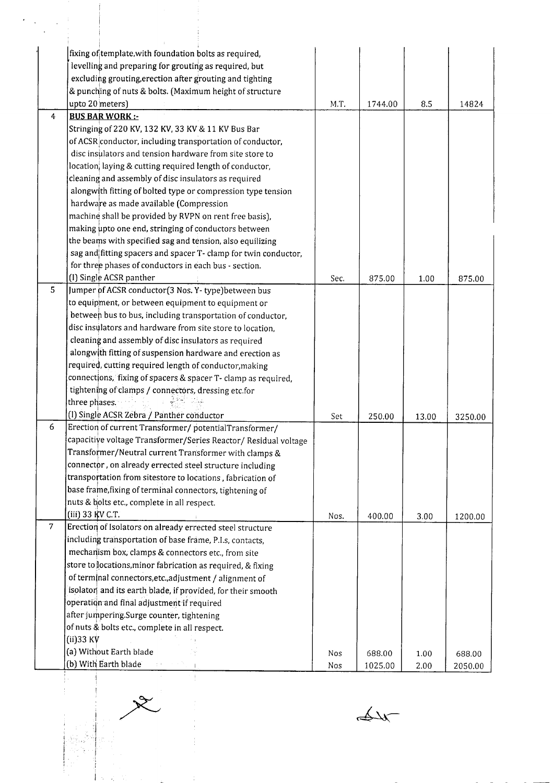|                | fixing of template, with foundation bolts as required,          |      |         |       |         |
|----------------|-----------------------------------------------------------------|------|---------|-------|---------|
|                | levelling and preparing for grouting as required, but           |      |         |       |         |
|                | excluding grouting, erection after grouting and tighting        |      |         |       |         |
|                | & punching of nuts & bolts. (Maximum height of structure        |      |         |       |         |
|                | upto 20 meters)                                                 | M.T. | 1744.00 | 8.5   | 14824   |
| $\overline{4}$ | <b>BUS BAR WORK:-</b>                                           |      |         |       |         |
|                | Stringing of 220 KV, 132 KV, 33 KV & 11 KV Bus Bar              |      |         |       |         |
|                | of ACSR conductor, including transportation of conductor,       |      |         |       |         |
|                | disc insulators and tension hardware from site store to         |      |         |       |         |
|                | location, laying & cutting required length of conductor,        |      |         |       |         |
|                | cleaning and assembly of disc insulators as required            |      |         |       |         |
|                | alongwith fitting of bolted type or compression type tension    |      |         |       |         |
|                | hardware as made available (Compression                         |      |         |       |         |
|                | machine shall be provided by RVPN on rent free basis),          |      |         |       |         |
|                | making upto one end, stringing of conductors between            |      |         |       |         |
|                | the beams with specified sag and tension, also equilizing       |      |         |       |         |
|                | sag and fitting spacers and spacer T- clamp for twin conductor, |      |         |       |         |
|                | for three phases of conductors in each bus - section.           |      |         |       |         |
|                | (I) Single ACSR panther                                         | Sec. | 875.00  | 1.00  | 875.00  |
| 5              | Jumper of ACSR conductor(3 Nos. Y-type) between bus             |      |         |       |         |
|                | to equipment, or between equipment to equipment or              |      |         |       |         |
|                | between bus to bus, including transportation of conductor,      |      |         |       |         |
|                | disc insulators and hardware from site store to location,       |      |         |       |         |
|                | cleaning and assembly of disc insulators as required            |      |         |       |         |
|                | alongwith fitting of suspension hardware and erection as        |      |         |       |         |
|                | required, cutting required length of conductor, making          |      |         |       |         |
|                | connections, fixing of spacers & spacer T- clamp as required,   |      |         |       |         |
|                | tightening of clamps / connectors, dressing etc for             |      |         |       |         |
|                | three phases.                                                   |      |         |       |         |
|                | (I) Single ACSR Zebra / Panther conductor                       | Set  | 250.00  | 13.00 | 3250.00 |
| 6              | Erection of current Transformer/ potentialTransformer/          |      |         |       |         |
|                | capacitive voltage Transformer/Series Reactor/ Residual voltage |      |         |       |         |
|                | Transformer/Neutral current Transformer with clamps &           |      |         |       |         |
|                | connector, on already errected steel structure including        |      |         |       |         |
|                | transportation from sitestore to locations, fabrication of      |      |         |       |         |
|                | base frame, fixing of terminal connectors, tightening of        |      |         |       |         |
|                | nuts & bolts etc., complete in all respect.                     |      |         |       |         |
|                | (iii) 33 KV C.T.                                                | Nos. | 400.00  | 3.00  | 1200.00 |
| $\overline{7}$ | Erection of Isolators on already errected steel structure       |      |         |       |         |
|                | including transportation of base frame, P.I.s, contacts,        |      |         |       |         |
|                | mechanism box, clamps & connectors etc., from site              |      |         |       |         |
|                | store to locations, minor fabrication as required, & fixing     |      |         |       |         |
|                | of terminal connectors, etc., adjustment / alignment of         |      |         |       |         |
|                | isolator and its earth blade, if provided, for their smooth     |      |         |       |         |
|                | operation and final adjustment if required                      |      |         |       |         |
|                | after jumpering Surge counter, tightening                       |      |         |       |         |
|                | of nuts & bolts etc., complete in all respect.                  |      |         |       |         |
|                | $(ii)$ 33 KV                                                    |      |         |       |         |
|                | (a) Without Earth blade                                         | Nos  | 688.00  | 1.00  | 688.00  |
|                | (b) With Earth blade                                            | Nos  | 1025.00 | 2.00  | 2050.00 |

 $\overbrace{\text{div}}$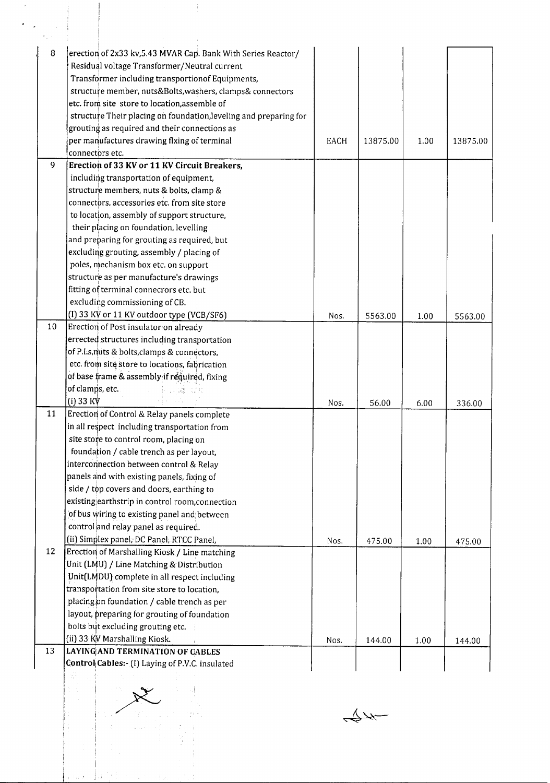| 8  | erection of 2x33 kv, 5.43 MVAR Cap. Bank With Series Reactor/     |      |          |      |          |
|----|-------------------------------------------------------------------|------|----------|------|----------|
|    | Residual voltage Transformer/Neutral current                      |      |          |      |          |
|    | Transformer including transportionof Equipments,                  |      |          |      |          |
|    | structure member, nuts&Bolts, washers, clamps& connectors         |      |          |      |          |
|    | etc. from site store to location, assemble of                     |      |          |      |          |
|    | structure Their placing on foundation, leveling and preparing for |      |          |      |          |
|    | grouting as required and their connections as                     |      |          |      |          |
|    | per manufactures drawing flxing of terminal                       | EACH | 13875.00 | 1.00 | 13875.00 |
|    | connectors etc.                                                   |      |          |      |          |
| 9  | Erection of 33 KV or 11 KV Circuit Breakers,                      |      |          |      |          |
|    | including transportation of equipment,                            |      |          |      |          |
|    | structure members, nuts & bolts, clamp &                          |      |          |      |          |
|    | connectors, accessories etc. from site store                      |      |          |      |          |
|    | to location, assembly of support structure,                       |      |          |      |          |
|    | their placing on foundation, levelling                            |      |          |      |          |
|    | and preparing for grouting as required, but                       |      |          |      |          |
|    | excluding grouting, assembly / placing of                         |      |          |      |          |
|    | poles, mechanism box etc. on support                              |      |          |      |          |
|    | structure as per manufacture's drawings                           |      |          |      |          |
|    | fitting of terminal connecrors etc. but                           |      |          |      |          |
|    | excluding commissioning of CB.                                    |      |          |      |          |
|    | (I) 33 KV or 11 KV outdoor type (VCB/SF6)                         | Nos. | 5563.00  | 1.00 | 5563.00  |
| 10 | Erection of Post insulator on already                             |      |          |      |          |
|    | errected structures including transportation                      |      |          |      |          |
|    | of P.I.s, nuts & bolts, clamps & connectors,                      |      |          |      |          |
|    | etc. from site store to locations, fabrication                    |      |          |      |          |
|    | of base frame & assembly if required, fixing                      |      |          |      |          |
|    | of clamps, etc.<br>iku das sije                                   |      |          |      |          |
|    | $(i)$ 33 KV                                                       | Nos. | 56.00    | 6.00 | 336.00   |
| 11 | Erection of Control & Relay panels complete                       |      |          |      |          |
|    | in all respect including transportation from                      |      |          |      |          |
|    | site store to control room, placing on                            |      |          |      |          |
|    | foundation / cable trench as per layout,                          |      |          |      |          |
|    | interconnection between control & Relay                           |      |          |      |          |
|    | panels and with existing panels, fixing of                        |      |          |      |          |
|    | side / top covers and doors, earthing to                          |      |          |      |          |
|    | existing earthstrip in control room, connection                   |      |          |      |          |
|    | of bus wiring to existing panel and between                       |      |          |      |          |
|    | control and relay panel as required.                              |      |          |      |          |
|    | (ii) Simplex panel, DC Panel, RTCC Panel,                         | Nos. | 475.00   | 1.00 | 475.00   |
| 12 | Erection of Marshalling Kiosk / Line matching                     |      |          |      |          |
|    | Unit (LMU) / Line Matching & Distribution                         |      |          |      |          |
|    | Unit(LMDU) complete in all respect including                      |      |          |      |          |
|    | transportation from site store to location,                       |      |          |      |          |
|    | placing on foundation / cable trench as per                       |      |          |      |          |
|    | layout, preparing for grouting of foundation                      |      |          |      |          |
|    | bolts but excluding grouting etc.                                 |      |          |      |          |
|    | (ii) 33 KV Marshalling Kiosk.                                     | Nos. | 144.00   | 1.00 | 144.00   |
| 13 | LAYING AND TERMINATION OF CABLES                                  |      |          |      |          |
|    | Control Cables: (I) Laying of P.V.C. insulated                    |      |          |      |          |
|    | 방                                                                 |      |          |      |          |
|    |                                                                   |      |          |      |          |
|    |                                                                   |      |          |      |          |
|    |                                                                   |      |          |      |          |
|    |                                                                   |      |          |      |          |
|    |                                                                   |      |          |      |          |
|    |                                                                   |      |          |      |          |

Itt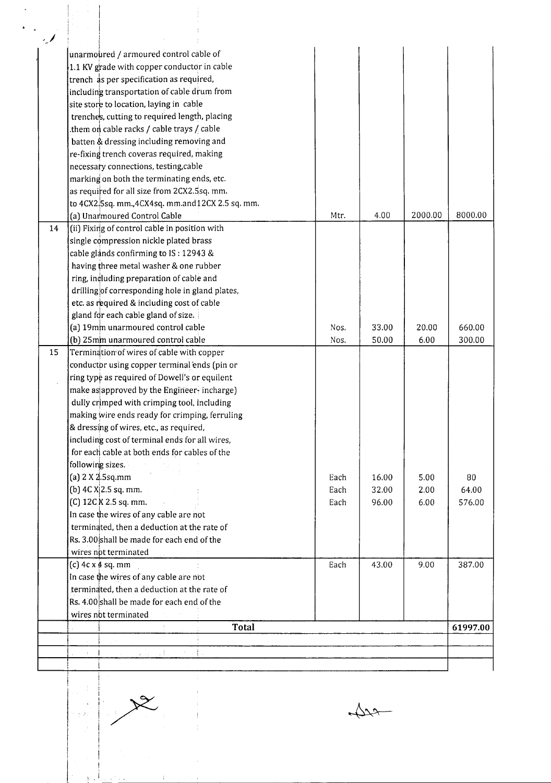| $\sim$ |                                                   |      |       |         |          |
|--------|---------------------------------------------------|------|-------|---------|----------|
|        | unarmoured / armoured control cable of            |      |       |         |          |
|        | 1.1 KV grade with copper conductor in cable       |      |       |         |          |
|        | trench as per specification as required,          |      |       |         |          |
|        | including transportation of cable drum from       |      |       |         |          |
|        | site store to location, laying in cable           |      |       |         |          |
|        | trenches, cutting to required length, placing     |      |       |         |          |
|        | them on cable racks / cable trays / cable         |      |       |         |          |
|        | batten & dressing including removing and          |      |       |         |          |
|        | re-fixing trench coveras required, making         |      |       |         |          |
|        | necessary connections, testing, cable             |      |       |         |          |
|        | marking on both the terminating ends, etc.        |      |       |         |          |
|        | as required for all size from 2CX2.5sq. mm.       |      |       |         |          |
|        | to 4CX2.5sq. mm., 4CX4sq. mm.and 12CX 2.5 sq. mm. |      |       |         |          |
|        | (a) Unarmoured Control Cable                      | Mtr. | 4.00  | 2000.00 | 8000.00  |
| 14     | (ii) Fixing of control cable in position with     |      |       |         |          |
|        | single compression nickle plated brass            |      |       |         |          |
|        | cable glands confirming to IS: 12943 &            |      |       |         |          |
|        | having three metal washer & one rubber            |      |       |         |          |
|        | ring, including preparation of cable and          |      |       |         |          |
|        | drilling of corresponding hole in gland plates,   |      |       |         |          |
|        |                                                   |      |       |         |          |
|        | etc. as required & including cost of cable        |      |       |         |          |
|        | gland for each cable gland of size.               |      |       |         |          |
|        | (a) 19mm unarmoured control cable                 | Nos. | 33.00 | 20.00   | 660.00   |
|        | (b) 25mm unarmoured control cable                 | Nos. | 50.00 | 6.00    | 300.00   |
| 15     | Termination of wires of cable with copper         |      |       |         |          |
|        | conductbr using copper terminal ends (pin or      |      |       |         |          |
|        | ring type as required of Dowell's or equilent     |      |       |         |          |
|        | make as approved by the Engineer-incharge)        |      |       |         |          |
|        | dully crimped with crimping tool, including       |      |       |         |          |
|        | making wire ends ready for crimping, ferruling    |      |       |         |          |
|        | & dressing of wires, etc., as required,           |      |       |         |          |
|        | including cost of terminal ends for all wires,    |      |       |         |          |
|        | for each cable at both ends for cables of the     |      |       |         |          |
|        | following sizes.                                  |      |       |         |          |
|        | (a) 2 X 2.5sq.mm                                  | Each | 16.00 | 5.00    | 80       |
|        | (b) $4C X   2.5 sq. mm.$                          | Each | 32.00 | 2.00    | 64.00    |
|        | $(C)$ 12C $K$ 2.5 sq. mm.                         | Each | 96.00 | 6.00    | 576.00   |
|        | In case the wires of any cable are not            |      |       |         |          |
|        | terminated, then a deduction at the rate of       |      |       |         |          |
|        | Rs. 3.00 shall be made for each end of the        |      |       |         |          |
|        | wires not terminated                              |      |       |         |          |
|        | $(c)$ 4c x 4 sq. mm                               | Each | 43.00 | 9.00    | 387.00   |
|        | In case the wires of any cable are not            |      |       |         |          |
|        | terminated, then a deduction at the rate of       |      |       |         |          |
|        | Rs. 4.00 shall be made for each end of the        |      |       |         |          |
|        | wires not terminated                              |      |       |         |          |
|        | <b>Total</b>                                      |      |       |         | 61997.00 |
|        |                                                   |      |       |         |          |
|        | $-2 - 1$<br>was all the<br>土土土                    |      |       |         |          |
|        |                                                   |      |       |         |          |

I <sup>i</sup>  $x^2$ 

, I

!

 $\overline{\varphi\varphi}$